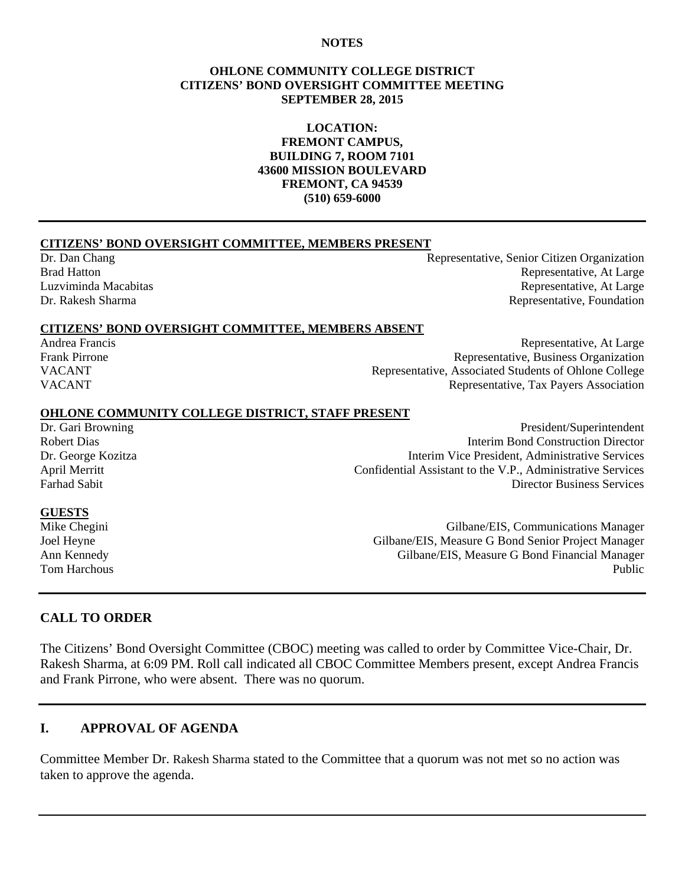#### **NOTES**

#### **OHLONE COMMUNITY COLLEGE DISTRICT CITIZENS' BOND OVERSIGHT COMMITTEE MEETING SEPTEMBER 28, 2015**

#### **LOCATION: FREMONT CAMPUS, BUILDING 7, ROOM 7101 43600 MISSION BOULEVARD FREMONT, CA 94539 (510) 659-6000**

#### **CITIZENS' BOND OVERSIGHT COMMITTEE, MEMBERS PRESENT**

Dr. Dan Chang Representative, Senior Citizen Organization Brad Hatton **Representative, At Large** Luzviminda Macabitas Representative, At Large Dr. Rakesh Sharma **Representative, Foundation** Representative, Foundation

#### **CITIZENS' BOND OVERSIGHT COMMITTEE, MEMBERS ABSENT**

Andrea Francis Representative, At Large Frank Pirrone **Representative, Business Organization** VACANT Representative, Associated Students of Ohlone College VACANT Representative, Tax Payers Association

# **OHLONE COMMUNITY COLLEGE DISTRICT, STAFF PRESENT**<br>Dr. Gari Browning

President/Superintendent Robert Dias Interim Bond Construction Director Dr. George Kozitza Interim Vice President, Administrative Services April Merritt<br>
Confidential Assistant to the V.P., Administrative Services<br>
Director Business Services **Director Business Services** 

#### **GUESTS**

Mike Chegini Gilbane/EIS, Communications Manager Joel Heyne Gilbane/EIS, Measure G Bond Senior Project Manager<br>Ann Kennedy Gilbane/EIS, Measure G Bond Financial Manager Gilbane/EIS, Measure G Bond Financial Manager Tom Harchous Public

#### **CALL TO ORDER**

The Citizens' Bond Oversight Committee (CBOC) meeting was called to order by Committee Vice-Chair, Dr. Rakesh Sharma, at 6:09 PM. Roll call indicated all CBOC Committee Members present, except Andrea Francis and Frank Pirrone, who were absent. There was no quorum.

#### **I. APPROVAL OF AGENDA**

Committee Member Dr. Rakesh Sharma stated to the Committee that a quorum was not met so no action was taken to approve the agenda.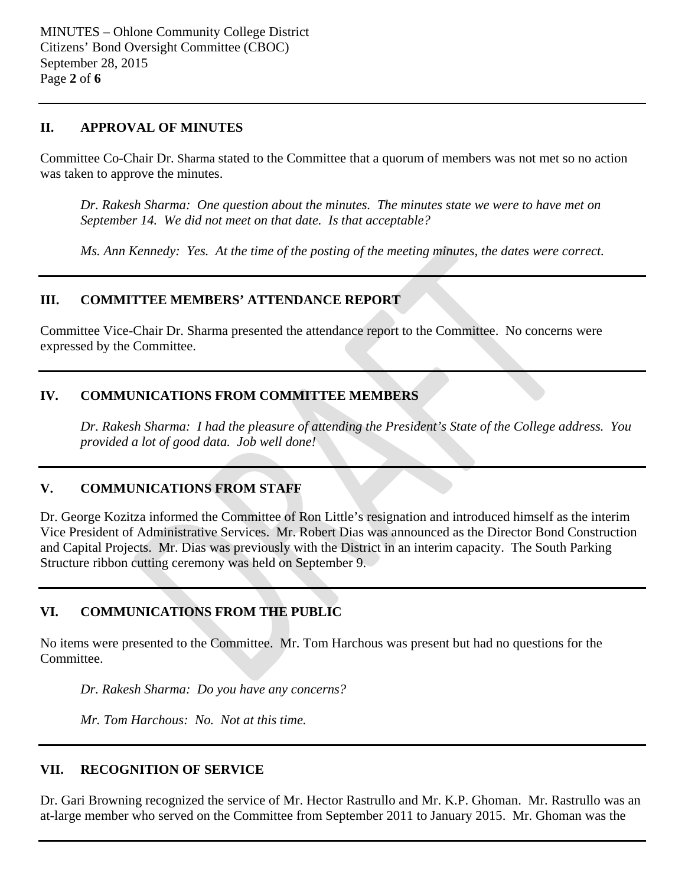#### **II. APPROVAL OF MINUTES**

Committee Co-Chair Dr. Sharma stated to the Committee that a quorum of members was not met so no action was taken to approve the minutes.

*Dr. Rakesh Sharma: One question about the minutes. The minutes state we were to have met on September 14. We did not meet on that date. Is that acceptable?*

*Ms. Ann Kennedy: Yes. At the time of the posting of the meeting minutes, the dates were correct.*

## **III. COMMITTEE MEMBERS' ATTENDANCE REPORT**

Committee Vice-Chair Dr. Sharma presented the attendance report to the Committee. No concerns were expressed by the Committee.

## **IV. COMMUNICATIONS FROM COMMITTEE MEMBERS**

*Dr. Rakesh Sharma: I had the pleasure of attending the President's State of the College address. You provided a lot of good data. Job well done!*

## **V. COMMUNICATIONS FROM STAFF**

Dr. George Kozitza informed the Committee of Ron Little's resignation and introduced himself as the interim Vice President of Administrative Services. Mr. Robert Dias was announced as the Director Bond Construction and Capital Projects. Mr. Dias was previously with the District in an interim capacity. The South Parking Structure ribbon cutting ceremony was held on September 9.

# **VI. COMMUNICATIONS FROM THE PUBLIC**

No items were presented to the Committee. Mr. Tom Harchous was present but had no questions for the Committee.

*Dr. Rakesh Sharma: Do you have any concerns?*

*Mr. Tom Harchous: No. Not at this time.* 

## **VII. RECOGNITION OF SERVICE**

Dr. Gari Browning recognized the service of Mr. Hector Rastrullo and Mr. K.P. Ghoman. Mr. Rastrullo was an at-large member who served on the Committee from September 2011 to January 2015. Mr. Ghoman was the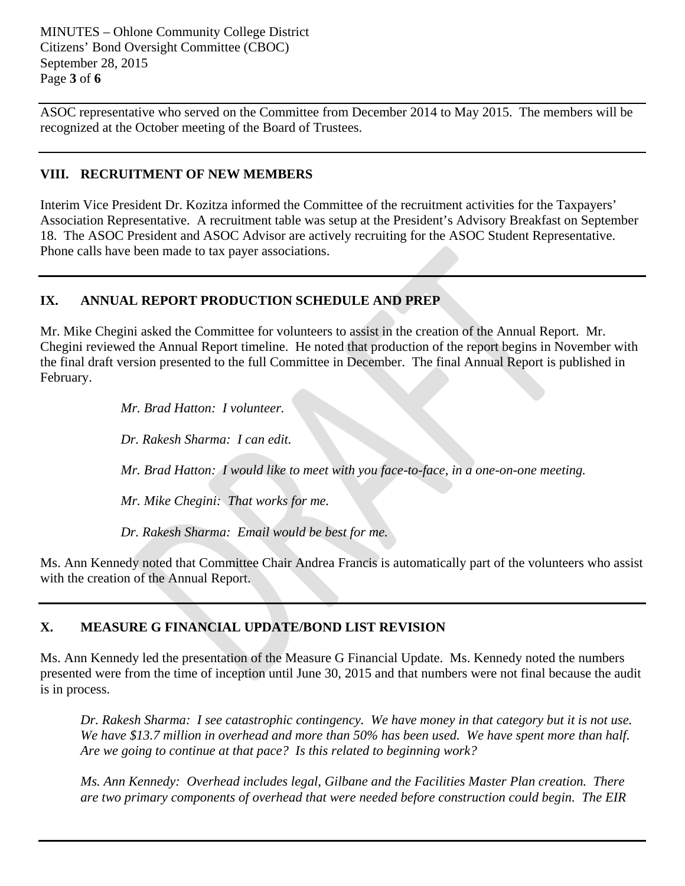MINUTES – Ohlone Community College District Citizens' Bond Oversight Committee (CBOC) September 28, 2015 Page **3** of **6**

ASOC representative who served on the Committee from December 2014 to May 2015. The members will be recognized at the October meeting of the Board of Trustees.

#### **VIII. RECRUITMENT OF NEW MEMBERS**

Interim Vice President Dr. Kozitza informed the Committee of the recruitment activities for the Taxpayers' Association Representative. A recruitment table was setup at the President's Advisory Breakfast on September 18. The ASOC President and ASOC Advisor are actively recruiting for the ASOC Student Representative. Phone calls have been made to tax payer associations.

## **IX. ANNUAL REPORT PRODUCTION SCHEDULE AND PREP**

Mr. Mike Chegini asked the Committee for volunteers to assist in the creation of the Annual Report. Mr. Chegini reviewed the Annual Report timeline. He noted that production of the report begins in November with the final draft version presented to the full Committee in December. The final Annual Report is published in February.

*Mr. Brad Hatton: I volunteer.*

*Dr. Rakesh Sharma: I can edit.*

*Mr. Brad Hatton: I would like to meet with you face-to-face, in a one-on-one meeting.* 

*Mr. Mike Chegini: That works for me.* 

*Dr. Rakesh Sharma: Email would be best for me.*

Ms. Ann Kennedy noted that Committee Chair Andrea Francis is automatically part of the volunteers who assist with the creation of the Annual Report.

# **X. MEASURE G FINANCIAL UPDATE/BOND LIST REVISION**

Ms. Ann Kennedy led the presentation of the Measure G Financial Update. Ms. Kennedy noted the numbers presented were from the time of inception until June 30, 2015 and that numbers were not final because the audit is in process.

*Dr. Rakesh Sharma: I see catastrophic contingency. We have money in that category but it is not use. We have \$13.7 million in overhead and more than 50% has been used. We have spent more than half. Are we going to continue at that pace? Is this related to beginning work?*

*Ms. Ann Kennedy: Overhead includes legal, Gilbane and the Facilities Master Plan creation. There are two primary components of overhead that were needed before construction could begin. The EIR*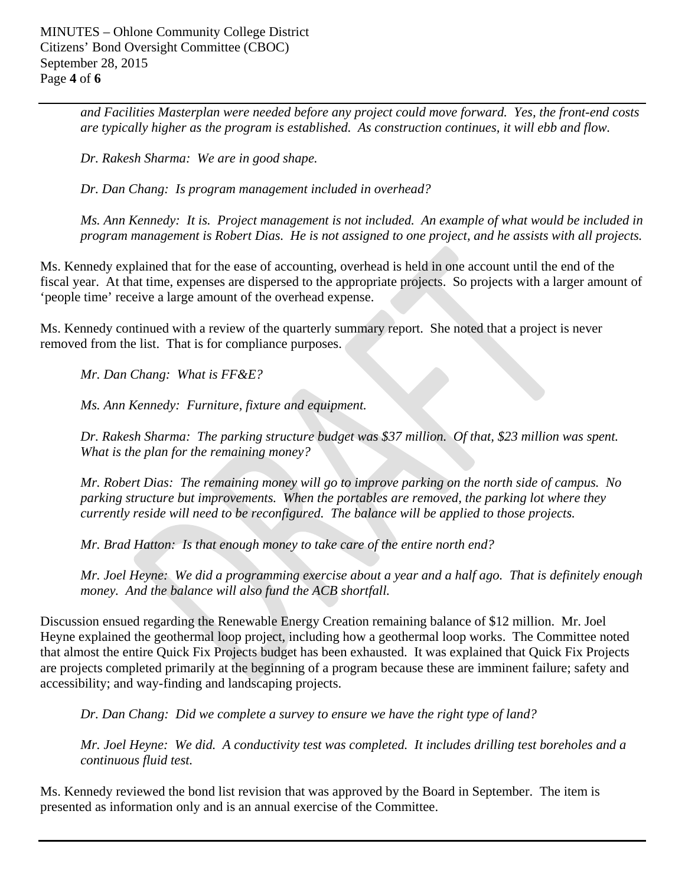*and Facilities Masterplan were needed before any project could move forward. Yes, the front-end costs are typically higher as the program is established. As construction continues, it will ebb and flow.*

*Dr. Rakesh Sharma: We are in good shape.*

*Dr. Dan Chang: Is program management included in overhead?*

*Ms. Ann Kennedy: It is. Project management is not included. An example of what would be included in program management is Robert Dias. He is not assigned to one project, and he assists with all projects.* 

Ms. Kennedy explained that for the ease of accounting, overhead is held in one account until the end of the fiscal year. At that time, expenses are dispersed to the appropriate projects. So projects with a larger amount of 'people time' receive a large amount of the overhead expense.

Ms. Kennedy continued with a review of the quarterly summary report. She noted that a project is never removed from the list. That is for compliance purposes.

*Mr. Dan Chang: What is FF&E?*

*Ms. Ann Kennedy: Furniture, fixture and equipment.*

*Dr. Rakesh Sharma: The parking structure budget was \$37 million. Of that, \$23 million was spent. What is the plan for the remaining money?*

*Mr. Robert Dias: The remaining money will go to improve parking on the north side of campus. No parking structure but improvements. When the portables are removed, the parking lot where they currently reside will need to be reconfigured. The balance will be applied to those projects.* 

*Mr. Brad Hatton: Is that enough money to take care of the entire north end?*

*Mr. Joel Heyne: We did a programming exercise about a year and a half ago. That is definitely enough money. And the balance will also fund the ACB shortfall.*

Discussion ensued regarding the Renewable Energy Creation remaining balance of \$12 million. Mr. Joel Heyne explained the geothermal loop project, including how a geothermal loop works. The Committee noted that almost the entire Quick Fix Projects budget has been exhausted. It was explained that Quick Fix Projects are projects completed primarily at the beginning of a program because these are imminent failure; safety and accessibility; and way-finding and landscaping projects.

*Dr. Dan Chang: Did we complete a survey to ensure we have the right type of land?*

*Mr. Joel Heyne: We did. A conductivity test was completed. It includes drilling test boreholes and a continuous fluid test.* 

Ms. Kennedy reviewed the bond list revision that was approved by the Board in September. The item is presented as information only and is an annual exercise of the Committee.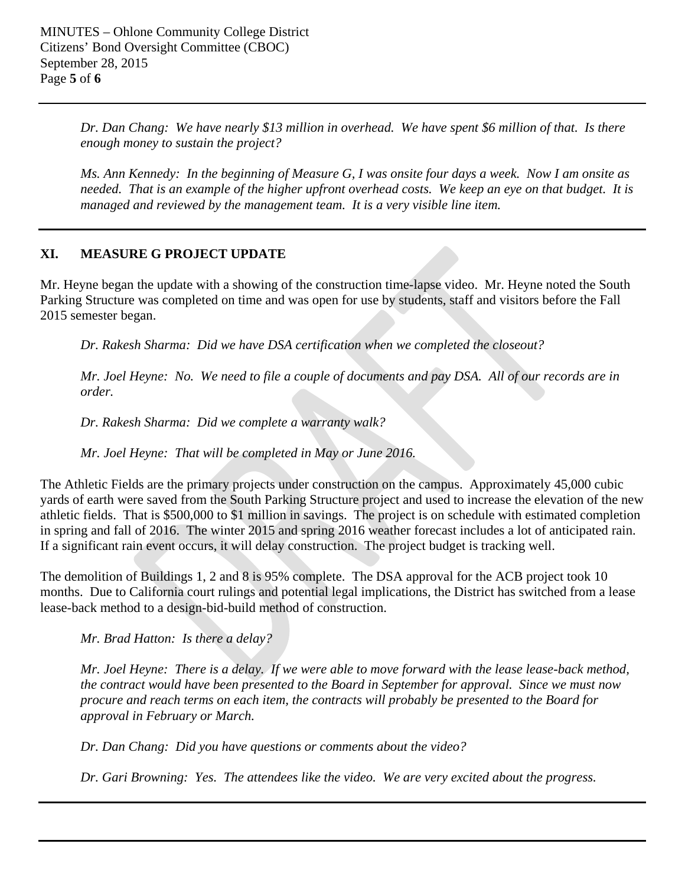*Dr. Dan Chang: We have nearly \$13 million in overhead. We have spent \$6 million of that. Is there enough money to sustain the project?*

*Ms. Ann Kennedy: In the beginning of Measure G, I was onsite four days a week. Now I am onsite as needed. That is an example of the higher upfront overhead costs. We keep an eye on that budget. It is managed and reviewed by the management team. It is a very visible line item.* 

## **XI. MEASURE G PROJECT UPDATE**

Mr. Heyne began the update with a showing of the construction time-lapse video. Mr. Heyne noted the South Parking Structure was completed on time and was open for use by students, staff and visitors before the Fall 2015 semester began.

*Dr. Rakesh Sharma: Did we have DSA certification when we completed the closeout?*

*Mr. Joel Heyne: No. We need to file a couple of documents and pay DSA. All of our records are in order.* 

*Dr. Rakesh Sharma: Did we complete a warranty walk?*

*Mr. Joel Heyne: That will be completed in May or June 2016.*

The Athletic Fields are the primary projects under construction on the campus. Approximately 45,000 cubic yards of earth were saved from the South Parking Structure project and used to increase the elevation of the new athletic fields. That is \$500,000 to \$1 million in savings. The project is on schedule with estimated completion in spring and fall of 2016. The winter 2015 and spring 2016 weather forecast includes a lot of anticipated rain. If a significant rain event occurs, it will delay construction. The project budget is tracking well.

The demolition of Buildings 1, 2 and 8 is 95% complete. The DSA approval for the ACB project took 10 months. Due to California court rulings and potential legal implications, the District has switched from a lease lease-back method to a design-bid-build method of construction.

*Mr. Brad Hatton: Is there a delay?*

*Mr. Joel Heyne: There is a delay. If we were able to move forward with the lease lease-back method, the contract would have been presented to the Board in September for approval. Since we must now procure and reach terms on each item, the contracts will probably be presented to the Board for approval in February or March.* 

*Dr. Dan Chang: Did you have questions or comments about the video?*

*Dr. Gari Browning: Yes. The attendees like the video. We are very excited about the progress.*